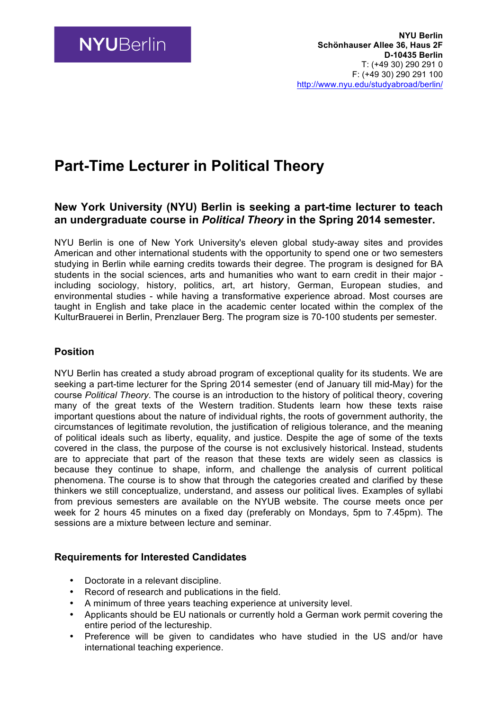## **Part-Time Lecturer in Political Theory**

## **New York University (NYU) Berlin is seeking a part-time lecturer to teach an undergraduate course in** *Political Theory* **in the Spring 2014 semester.**

NYU Berlin is one of New York University's eleven global study-away sites and provides American and other international students with the opportunity to spend one or two semesters studying in Berlin while earning credits towards their degree. The program is designed for BA students in the social sciences, arts and humanities who want to earn credit in their major including sociology, history, politics, art, art history, German, European studies, and environmental studies - while having a transformative experience abroad. Most courses are taught in English and take place in the academic center located within the complex of the KulturBrauerei in Berlin, Prenzlauer Berg. The program size is 70-100 students per semester.

## **Position**

NYU Berlin has created a study abroad program of exceptional quality for its students. We are seeking a part-time lecturer for the Spring 2014 semester (end of January till mid-May) for the course *Political Theory*. The course is an introduction to the history of political theory, covering many of the great texts of the Western tradition. Students learn how these texts raise important questions about the nature of individual rights, the roots of government authority, the circumstances of legitimate revolution, the justification of religious tolerance, and the meaning of political ideals such as liberty, equality, and justice. Despite the age of some of the texts covered in the class, the purpose of the course is not exclusively historical. Instead, students are to appreciate that part of the reason that these texts are widely seen as classics is because they continue to shape, inform, and challenge the analysis of current political phenomena. The course is to show that through the categories created and clarified by these thinkers we still conceptualize, understand, and assess our political lives. Examples of syllabi from previous semesters are available on the NYUB website. The course meets once per week for 2 hours 45 minutes on a fixed day (preferably on Mondays, 5pm to 7.45pm). The sessions are a mixture between lecture and seminar.

## **Requirements for Interested Candidates**

- Doctorate in a relevant discipline.
- Record of research and publications in the field.
- A minimum of three years teaching experience at university level.
- Applicants should be EU nationals or currently hold a German work permit covering the entire period of the lectureship.
- Preference will be given to candidates who have studied in the US and/or have international teaching experience.